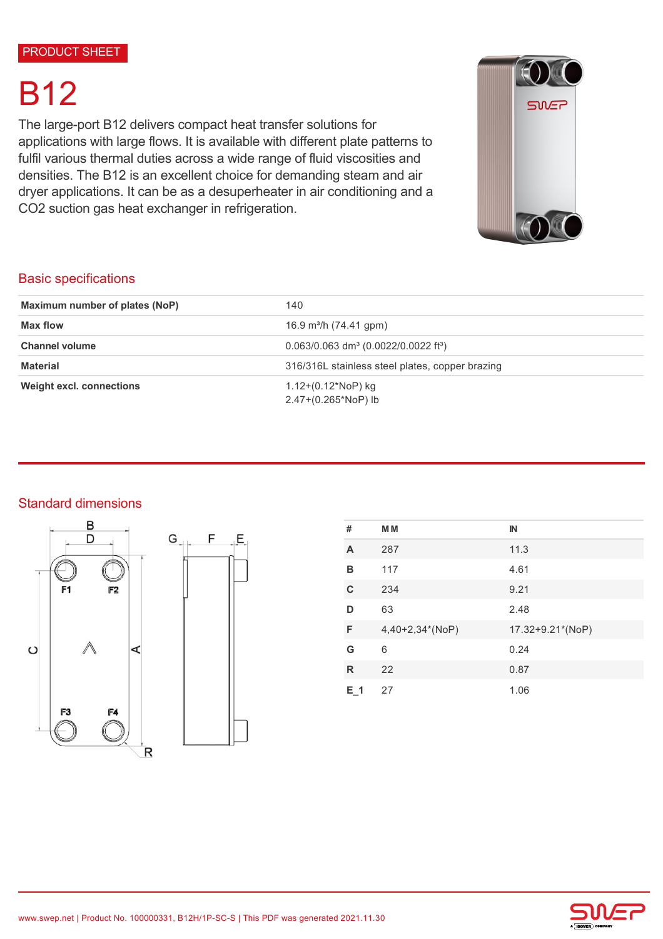# B12

The large-port B12 delivers compact heat transfer solutions for applications with large flows. It is available with different plate patterns to fulfil various thermal duties across a wide range of fluid viscosities and densities. The B12 is an excellent choice for demanding steam and air dryer applications. It can be as a desuperheater in air conditioning and a CO2 suction gas heat exchanger in refrigeration.



## Basic specifications

| Maximum number of plates (NoP)                        | 140                                                            |
|-------------------------------------------------------|----------------------------------------------------------------|
| <b>Max flow</b><br>16.9 m <sup>3</sup> /h (74.41 gpm) |                                                                |
| <b>Channel volume</b>                                 | $0.063/0.063$ dm <sup>3</sup> (0.0022/0.0022 ft <sup>3</sup> ) |
| <b>Material</b>                                       | 316/316L stainless steel plates, copper brazing                |
| <b>Weight excl. connections</b>                       | 1.12+(0.12*NoP) kg<br>2.47+(0.265*NoP) lb                      |

#### Standard dimensions





| #   | <b>MM</b>       | $\mathbb{N}$     |
|-----|-----------------|------------------|
| A   | 287             | 11.3             |
| в   | 117             | 4.61             |
| C   | 234             | 9.21             |
| D   | 63              | 2.48             |
| F   | 4,40+2,34*(NoP) | 17.32+9.21*(NoP) |
| G   | 6               | 0.24             |
| R   | 22              | 0.87             |
| E 1 | 27              | 1.06             |